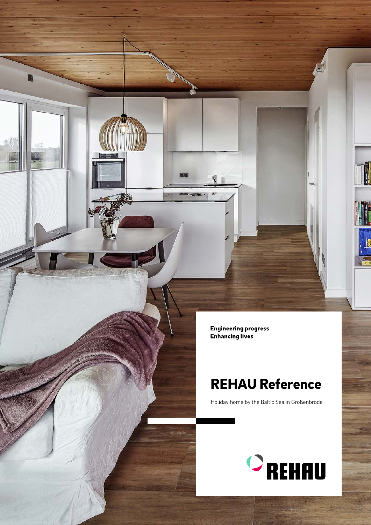Engineering progress<br>Enhancing lives

D

## REHAU Reference

Holiday home by the Baltic Sea in Großenbrode



H